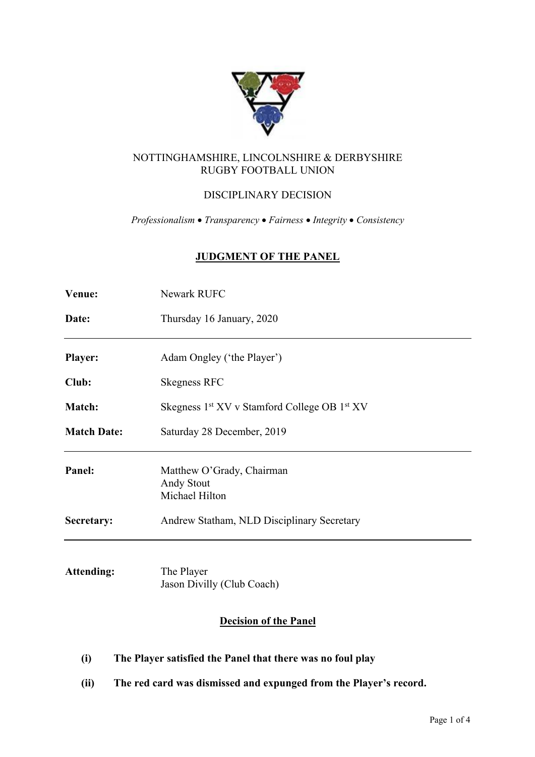

# NOTTINGHAMSHIRE, LINCOLNSHIRE & DERBYSHIRE RUGBY FOOTBALL UNION

# DISCIPLINARY DECISION

*Professionalism* • *Transparency* • *Fairness* • *Integrity* • *Consistency*

# **JUDGMENT OF THE PANEL**

| Venue:             | <b>Newark RUFC</b>                                                   |
|--------------------|----------------------------------------------------------------------|
| Date:              | Thursday 16 January, 2020                                            |
| <b>Player:</b>     | Adam Ongley ('the Player')                                           |
| Club:              | <b>Skegness RFC</b>                                                  |
| Match:             | Skegness 1 <sup>st</sup> XV v Stamford College OB 1 <sup>st</sup> XV |
| <b>Match Date:</b> | Saturday 28 December, 2019                                           |
| Panel:             | Matthew O'Grady, Chairman<br>Andy Stout<br>Michael Hilton            |
| Secretary:         | Andrew Statham, NLD Disciplinary Secretary                           |
|                    |                                                                      |

**Attending:** The Player Jason Divilly (Club Coach)

# **Decision of the Panel**

- **(i) The Player satisfied the Panel that there was no foul play**
- **(ii) The red card was dismissed and expunged from the Player's record.**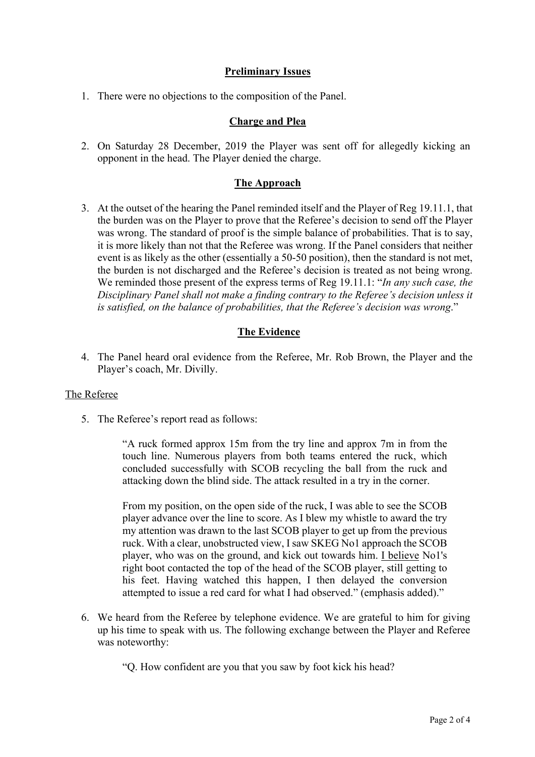### **Preliminary Issues**

1. There were no objections to the composition of the Panel.

#### **Charge and Plea**

2. On Saturday 28 December, 2019 the Player was sent off for allegedly kicking an opponent in the head. The Player denied the charge.

### **The Approach**

3. At the outset of the hearing the Panel reminded itself and the Player of Reg 19.11.1, that the burden was on the Player to prove that the Referee's decision to send off the Player was wrong. The standard of proof is the simple balance of probabilities. That is to say, it is more likely than not that the Referee was wrong. If the Panel considers that neither event is as likely as the other (essentially a 50-50 position), then the standard is not met, the burden is not discharged and the Referee's decision is treated as not being wrong. We reminded those present of the express terms of Reg 19.11.1: "*In any such case, the Disciplinary Panel shall not make a finding contrary to the Referee's decision unless it is satisfied, on the balance of probabilities, that the Referee's decision was wrong*."

# **The Evidence**

4. The Panel heard oral evidence from the Referee, Mr. Rob Brown, the Player and the Player's coach, Mr. Divilly.

#### The Referee

5. The Referee's report read as follows:

"A ruck formed approx 15m from the try line and approx 7m in from the touch line. Numerous players from both teams entered the ruck, which concluded successfully with SCOB recycling the ball from the ruck and attacking down the blind side. The attack resulted in a try in the corner.

From my position, on the open side of the ruck, I was able to see the SCOB player advance over the line to score. As I blew my whistle to award the try my attention was drawn to the last SCOB player to get up from the previous ruck. With a clear, unobstructed view, I saw SKEG No1 approach the SCOB player, who was on the ground, and kick out towards him. I believe No1's right boot contacted the top of the head of the SCOB player, still getting to his feet. Having watched this happen, I then delayed the conversion attempted to issue a red card for what I had observed." (emphasis added)."

6. We heard from the Referee by telephone evidence. We are grateful to him for giving up his time to speak with us. The following exchange between the Player and Referee was noteworthy:

"Q. How confident are you that you saw by foot kick his head?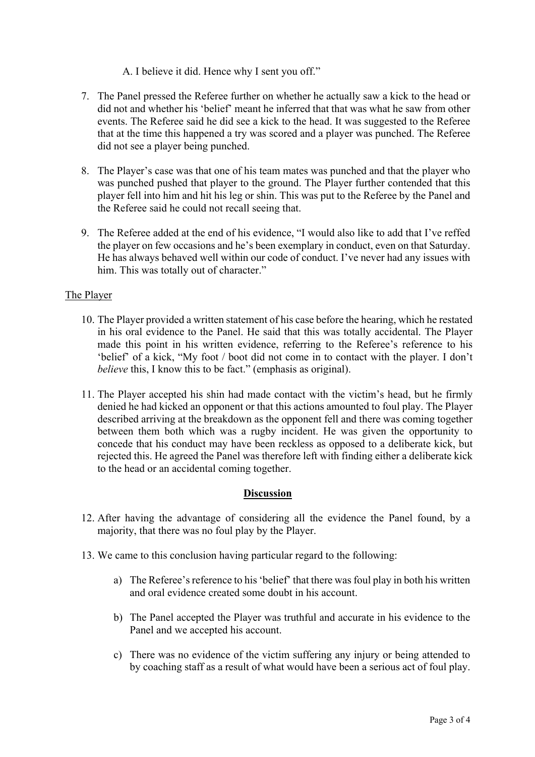### A. I believe it did. Hence why I sent you off."

- 7. The Panel pressed the Referee further on whether he actually saw a kick to the head or did not and whether his 'belief' meant he inferred that that was what he saw from other events. The Referee said he did see a kick to the head. It was suggested to the Referee that at the time this happened a try was scored and a player was punched. The Referee did not see a player being punched.
- 8. The Player's case was that one of his team mates was punched and that the player who was punched pushed that player to the ground. The Player further contended that this player fell into him and hit his leg or shin. This was put to the Referee by the Panel and the Referee said he could not recall seeing that.
- 9. The Referee added at the end of his evidence, "I would also like to add that I've reffed the player on few occasions and he's been exemplary in conduct, even on that Saturday. He has always behaved well within our code of conduct. I've never had any issues with him. This was totally out of character."

### The Player

- 10. The Player provided a written statement of his case before the hearing, which he restated in his oral evidence to the Panel. He said that this was totally accidental. The Player made this point in his written evidence, referring to the Referee's reference to his 'belief' of a kick, "My foot / boot did not come in to contact with the player. I don't *believe* this, I know this to be fact." (emphasis as original).
- 11. The Player accepted his shin had made contact with the victim's head, but he firmly denied he had kicked an opponent or that this actions amounted to foul play. The Player described arriving at the breakdown as the opponent fell and there was coming together between them both which was a rugby incident. He was given the opportunity to concede that his conduct may have been reckless as opposed to a deliberate kick, but rejected this. He agreed the Panel was therefore left with finding either a deliberate kick to the head or an accidental coming together.

# **Discussion**

- 12. After having the advantage of considering all the evidence the Panel found, by a majority, that there was no foul play by the Player.
- 13. We came to this conclusion having particular regard to the following:
	- a) The Referee's reference to his 'belief' that there was foul play in both his written and oral evidence created some doubt in his account.
	- b) The Panel accepted the Player was truthful and accurate in his evidence to the Panel and we accepted his account.
	- c) There was no evidence of the victim suffering any injury or being attended to by coaching staff as a result of what would have been a serious act of foul play.